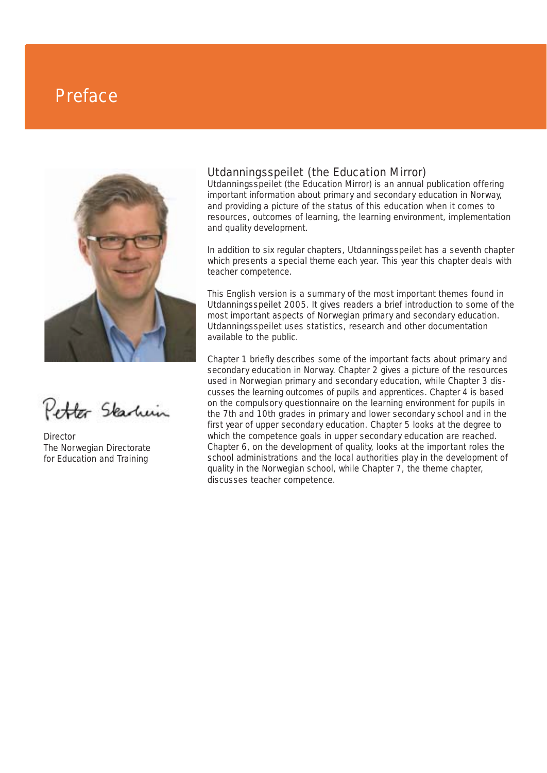### **Preface** *Culture*



Petter Starhein

Director Skarehoff The Norwegian Directorate for Education and Training

#### Utdanningsspeilet (the Education Mirror)

Utdanningsspeilet (the Education Mirror) is an annual publication offering important information about primary and secondary education in Norway, and providing a picture of the status of this education when it comes to resources, outcomes of learning, the learning environment, implementation and quality development.

In addition to six regular chapters, *Utdanningsspeilet* has a seventh chapter which presents a special theme each year. This year this chapter deals with teacher competence. The standard ved å beskrive områdene ressurser, i standardene ressurser, i som ved å beskr

Utdanningsspeilet 2005. It gives readers a brief introduction to some of the most important aspects of Norwegian primary and secondary education. Utdanningsspeilet uses statistics, research and other documentation available to the public. The original determination of the original state of our leads of the original state o This English version is a summary of the most important themes found in

Chapter 1 briefly describes some of the important facts about primary and secondary education in Norway. Chapter 2 gives a picture of the resources used in Norwegian primary and secondary education, while Chapter 3 discusses the learning outcomes of pupils and apprentices. Chapter 4 is based on the compulsory questionnaire on the learning environment for pupils in first year of upper secondary education. Chapter 5 looks at the degree to which the competence goals in upper secondary education are reached. Chapter 6, on the development of quality, looks at the important roles the school administrations and the local authorities play in the development of the 7th and 10th grades in primary and lower secondary school and in the quality in the Norwegian school, while Chapter 7, the theme chapter, discusses teacher competence.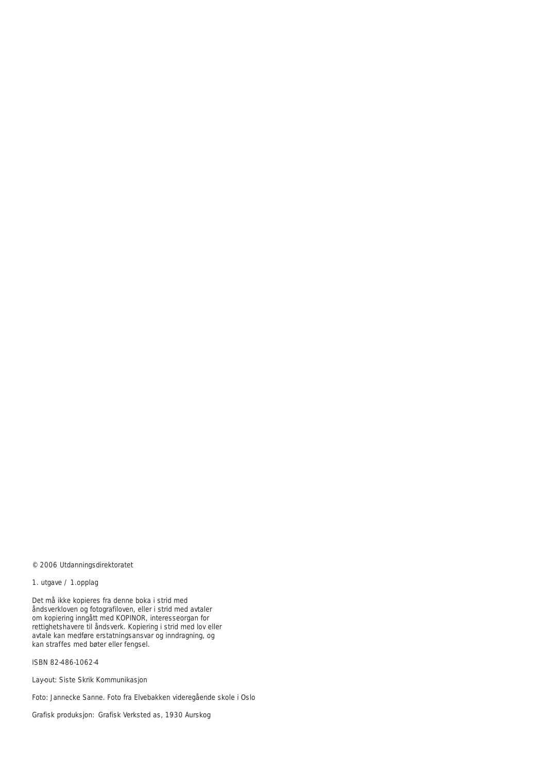#### © 2006 Utdanningsdirektoratet

1. utgave / 1.opplag

Det må ikke kopieres fra denne boka i strid med åndsverkloven og fotografiloven, eller i strid med avtaler om kopiering inngått med KOPINOR, interesseorgan for rettighetshavere til åndsverk. Kopiering i strid med lov eller avtale kan medføre erstatningsansvar og inndragning, og kan straffes med bøter eller fengsel.

#### ISBN 82-486-1062-4

Lay-out: Siste Skrik Kommunikasjon

Foto: Jannecke Sanne. Foto fra Elvebakken videregående skole i Oslo

Grafisk produksjon: Grafisk Verksted as, 1930 Aurskog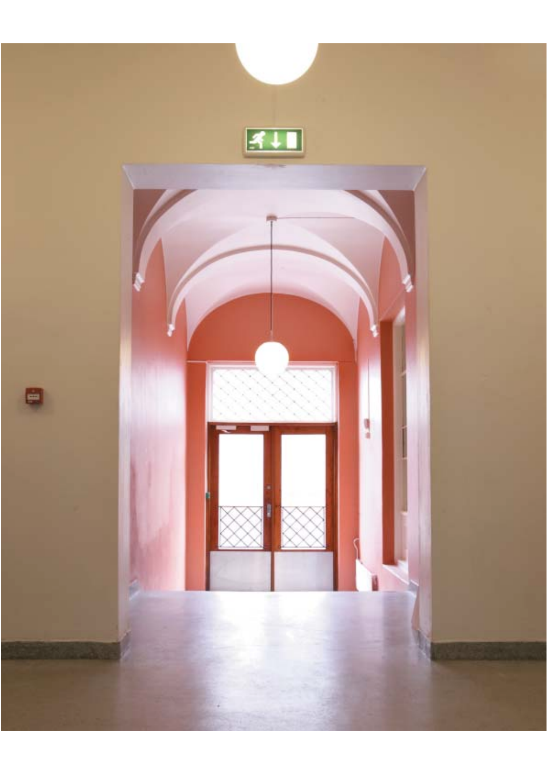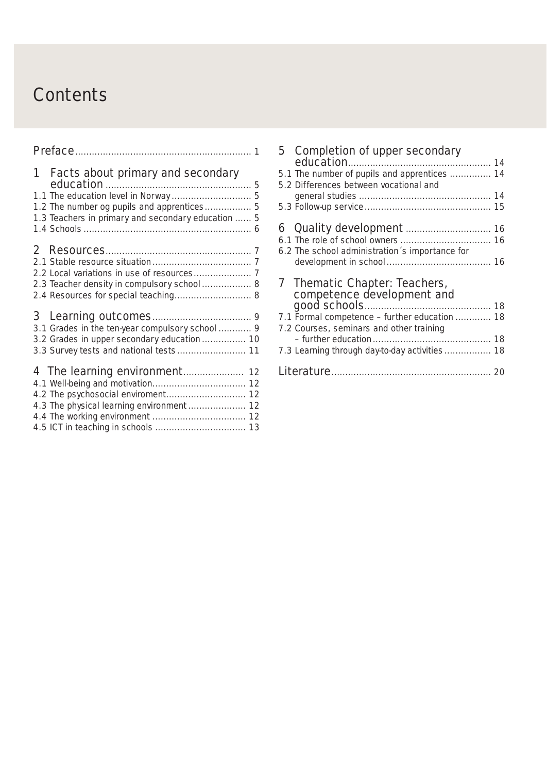# **Contents**

|  | 1 Facts about primary and secondary<br>1.1 The education level in Norway  5<br>1.2 The number og pupils and apprentices 5<br>1.3 Teachers in primary and secondary education  5 |  |  |  |
|--|---------------------------------------------------------------------------------------------------------------------------------------------------------------------------------|--|--|--|
|  | 2.3 Teacher density in compulsory school  8<br>2.4 Resources for special teaching 8                                                                                             |  |  |  |
|  | 3.1 Grades in the ten-year compulsory school  9<br>3.2 Grades in upper secondary education  10<br>3.3 Survey tests and national tests 11                                        |  |  |  |
|  | 4.3 The physical learning environment  12                                                                                                                                       |  |  |  |

| 5 Completion of upper secondary                                                           |    |
|-------------------------------------------------------------------------------------------|----|
| 5.1 The number of pupils and apprentices  14<br>5.2 Differences between vocational and    |    |
|                                                                                           | 15 |
| 6.2 The school administration's importance for                                            |    |
|                                                                                           |    |
| 7 Thematic Chapter: Teachers,<br>competence development and                               |    |
| 7.1 Formal competence - further education  18<br>7.2 Courses, seminars and other training |    |
| 7.3 Learning through day-to-day activities 18                                             |    |
|                                                                                           |    |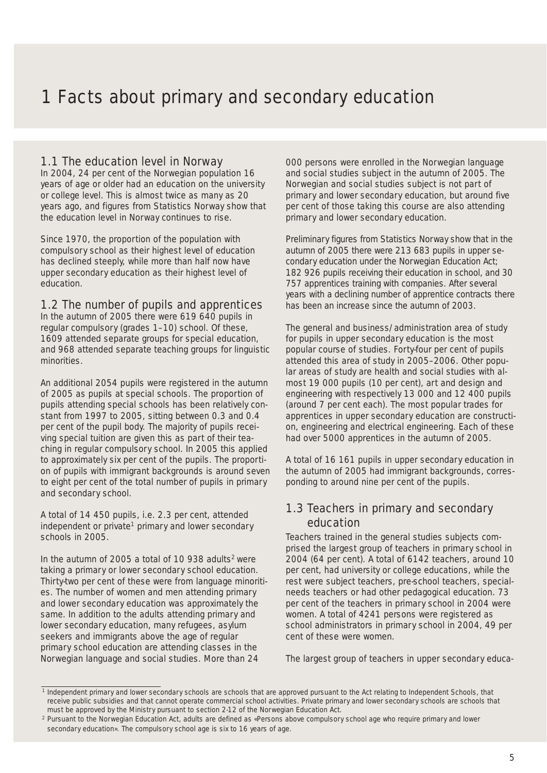## 1 Facts about primary and secondary education

#### 1.1 The education level in Norway

In 2004, 24 per cent of the Norwegian population 16 years of age or older had an education on the university or college level. This is almost twice as many as 20 years ago, and figures from Statistics Norway show that the education level in Norway continues to rise.

Since 1970, the proportion of the population with compulsory school as their highest level of education has declined steeply, while more than half now have upper secondary education as their highest level of education.

#### 1.2 The number of pupils and apprentices

In the autumn of 2005 there were 619 640 pupils in regular compulsory (grades 1–10) school. Of these, 1609 attended separate groups for special education, and 968 attended separate teaching groups for linguistic minorities.

An additional 2054 pupils were registered in the autumn of 2005 as pupils at special schools. The proportion of pupils attending special schools has been relatively constant from 1997 to 2005, sitting between 0.3 and 0.4 per cent of the pupil body. The majority of pupils receiving special tuition are given this as part of their teaching in regular compulsory school. In 2005 this applied to approximately six per cent of the pupils. The proportion of pupils with immigrant backgrounds is around seven to eight per cent of the total number of pupils in primary and secondary school.

A total of 14 450 pupils, i.e. 2.3 per cent, attended independent or private<sup>1</sup> primary and lower secondary schools in 2005.

In the autumn of 2005 a total of 10 938 adults<sup>2</sup> were taking a primary or lower secondary school education. Thirty-two per cent of these were from language minorities. The number of women and men attending primary and lower secondary education was approximately the same. In addition to the adults attending primary and lower secondary education, many refugees, asylum seekers and immigrants above the age of regular primary school education are attending classes in the Norwegian language and social studies. More than 24

000 persons were enrolled in the Norwegian language and social studies subject in the autumn of 2005. The Norwegian and social studies subject is not part of primary and lower secondary education, but around five per cent of those taking this course are also attending primary and lower secondary education.

Preliminary figures from Statistics Norway show that in the autumn of 2005 there were 213 683 pupils in upper secondary education under the Norwegian Education Act; 182 926 pupils receiving their education in school, and 30 757 apprentices training with companies. After several years with a declining number of apprentice contracts there has been an increase since the autumn of 2003.

The general and business/administration area of study for pupils in upper secondary education is the most popular course of studies. Forty-four per cent of pupils attended this area of study in 2005–2006. Other popular areas of study are health and social studies with almost 19 000 pupils (10 per cent), art and design and engineering with respectively 13 000 and 12 400 pupils (around 7 per cent each). The most popular trades for apprentices in upper secondary education are construction, engineering and electrical engineering. Each of these had over 5000 apprentices in the autumn of 2005.

A total of 16 161 pupils in upper secondary education in the autumn of 2005 had immigrant backgrounds, corresponding to around nine per cent of the pupils.

#### 1.3 Teachers in primary and secondary education

Teachers trained in the general studies subjects comprised the largest group of teachers in primary school in 2004 (64 per cent). A total of 6142 teachers, around 10 per cent, had university or college educations, while the rest were subject teachers, pre-school teachers, specialneeds teachers or had other pedagogical education. 73 per cent of the teachers in primary school in 2004 were women. A total of 4241 persons were registered as school administrators in primary school in 2004, 49 per cent of these were women.

The largest group of teachers in upper secondary educa-

<sup>1</sup> Independent primary and lower secondary schools are schools that are approved pursuant to the Act relating to Independent Schools, that receive public subsidies and that cannot operate commercial school activities. Private primary and lower secondary schools are schools that must be approved by the Ministry pursuant to section 2-12 of the Norwegian Education Act.

<sup>&</sup>lt;sup>2</sup> Pursuant to the Norwegian Education Act, adults are defined as «Persons above compulsory school age who require primary and lower secondary education». The compulsory school age is six to 16 years of age.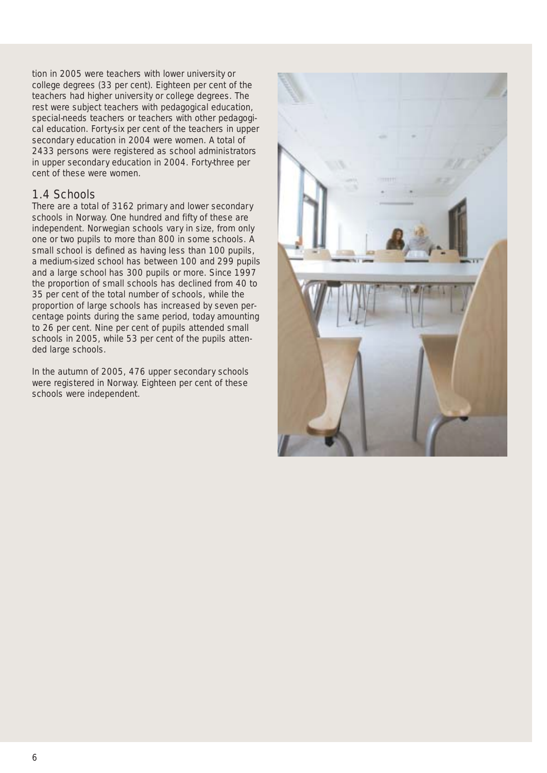tion in 2005 were teachers with lower university or college degrees (33 per cent). Eighteen per cent of the teachers had higher university or college degrees. The rest were subject teachers with pedagogical education, special-needs teachers or teachers with other pedagogical education. Forty-six per cent of the teachers in upper secondary education in 2004 were women. A total of 2433 persons were registered as school administrators in upper secondary education in 2004. Forty-three per cent of these were women.

#### 1.4 Schools

There are a total of 3162 primary and lower secondary schools in Norway. One hundred and fifty of these are independent. Norwegian schools vary in size, from only one or two pupils to more than 800 in some schools. A small school is defined as having less than 100 pupils, a medium-sized school has between 100 and 299 pupils and a large school has 300 pupils or more. Since 1997 the proportion of small schools has declined from 40 to 35 per cent of the total number of schools, while the proportion of large schools has increased by seven percentage points during the same period, today amounting to 26 per cent. Nine per cent of pupils attended small schools in 2005, while 53 per cent of the pupils attended large schools.

In the autumn of 2005, 476 upper secondary schools were registered in Norway. Eighteen per cent of these schools were independent.

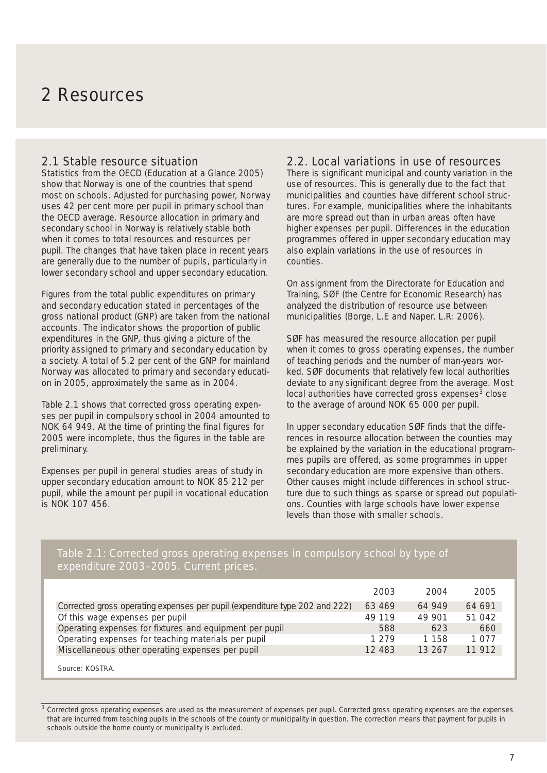### 2 Resources

#### 2.1 Stable resource situation

Statistics from the OECD (Education at a Glance 2005) show that Norway is one of the countries that spend most on schools. Adjusted for purchasing power, Norway uses 42 per cent more per pupil in primary school than the OECD average. Resource allocation in primary and secondary school in Norway is relatively stable both when it comes to total resources and resources per pupil. The changes that have taken place in recent years are generally due to the number of pupils, particularly in lower secondary school and upper secondary education.

Figures from the total public expenditures on primary and secondary education stated in percentages of the gross national product (GNP) are taken from the national accounts. The indicator shows the proportion of public expenditures in the GNP, thus giving a picture of the priority assigned to primary and secondary education by a society. A total of 5.2 per cent of the GNP for mainland Norway was allocated to primary and secondary education in 2005, approximately the same as in 2004.

Table 2.1 shows that corrected gross operating expenses per pupil in compulsory school in 2004 amounted to NOK 64 949. At the time of printing the final figures for 2005 were incomplete, thus the figures in the table are preliminary.

Expenses per pupil in general studies areas of study in upper secondary education amount to NOK 85 212 per pupil, while the amount per pupil in vocational education is NOK 107 456.

#### 2.2. Local variations in use of resources

There is significant municipal and county variation in the use of resources. This is generally due to the fact that municipalities and counties have different school structures. For example, municipalities where the inhabitants are more spread out than in urban areas often have higher expenses per pupil. Differences in the education programmes offered in upper secondary education may also explain variations in the use of resources in counties.

On assignment from the Directorate for Education and Training, SØF (the Centre for Economic Research) has analyzed the distribution of resource use between municipalities (Borge, L.E and Naper, L.R: 2006).

SØF has measured the resource allocation per pupil when it comes to gross operating expenses, the number of teaching periods and the number of man-years worked. SØF documents that relatively few local authorities deviate to any significant degree from the average. Most local authorities have corrected gross expenses<sup>3</sup> close to the average of around NOK 65 000 per pupil.

In upper secondary education SØF finds that the differences in resource allocation between the counties may be explained by the variation in the educational programmes pupils are offered, as some programmes in upper secondary education are more expensive than others. Other causes might include differences in school structure due to such things as sparse or spread out populations. Counties with large schools have lower expense levels than those with smaller schools.

#### Table 2.1: Corrected gross operating expenses in compulsory school by type of expenditure 2003–2005. Current prices.

|                                                                             | 2003   | 2004   | 2005   |
|-----------------------------------------------------------------------------|--------|--------|--------|
| Corrected gross operating expenses per pupil (expenditure type 202 and 222) | 63 469 | 64 949 | 64 691 |
| Of this wage expenses per pupil                                             | 49 119 | 49 901 | 51 042 |
| Operating expenses for fixtures and equipment per pupil                     | 588    | 623    | 660    |
| Operating expenses for teaching materials per pupil                         | 1 279  | 1 158  | 1 077  |
| Miscellaneous other operating expenses per pupil                            | 12 483 | 13 267 | 11 912 |
|                                                                             |        |        |        |

Source: KOSTRA.

<sup>&</sup>lt;sup>3</sup> Corrected gross operating expenses are used as the measurement of expenses per pupil. Corrected gross operating expenses are the expenses that are incurred from teaching pupils in the schools of the county or municipality in question. The correction means that payment for pupils in schools outside the home county or municipality is excluded.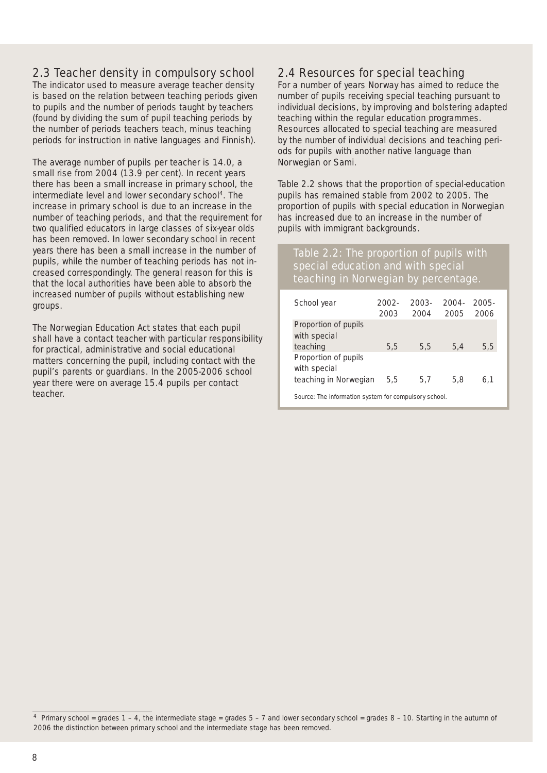### 2.3 Teacher density in compulsory school

The indicator used to measure average teacher density is based on the relation between teaching periods given to pupils and the number of periods taught by teachers (found by dividing the sum of pupil teaching periods by the number of periods teachers teach, minus teaching periods for instruction in native languages and Finnish).

The average number of pupils per teacher is 14.0, a small rise from 2004 (13.9 per cent). In recent years there has been a small increase in primary school, the intermediate level and lower secondary school<sup>4</sup>. The increase in primary school is due to an increase in the number of teaching periods, and that the requirement for two qualified educators in large classes of six-year olds has been removed. In lower secondary school in recent years there has been a small increase in the number of pupils, while the number of teaching periods has not increased correspondingly. The general reason for this is that the local authorities have been able to absorb the increased number of pupils without establishing new groups.

The Norwegian Education Act states that each pupil shall have a contact teacher with particular responsibility for practical, administrative and social educational matters concerning the pupil, including contact with the pupil's parents or guardians. In the 2005-2006 school year there were on average 15.4 pupils per contact teacher.

#### 2.4 Resources for special teaching

For a number of years Norway has aimed to reduce the number of pupils receiving special teaching pursuant to individual decisions, by improving and bolstering adapted teaching within the regular education programmes. Resources allocated to special teaching are measured by the number of individual decisions and teaching periods for pupils with another native language than Norwegian or Sami.

Table 2.2 shows that the proportion of special-education pupils has remained stable from 2002 to 2005. The proportion of pupils with special education in Norwegian has increased due to an increase in the number of pupils with immigrant backgrounds.

#### Table 2.2: The proportion of pupils with special education and with special teaching in Norwegian by percentage.

| School year                                           | 2002-<br>2003 | 2003-<br>2004 | 2004-<br>2005 | 2005-<br>2006 |
|-------------------------------------------------------|---------------|---------------|---------------|---------------|
| Proportion of pupils<br>with special                  |               |               |               |               |
| teaching                                              | 5.5           | 5.5           | 5.4           | 5,5           |
| Proportion of pupils<br>with special                  |               |               |               |               |
| teaching in Norwegian                                 | 5.5           | 5.7           | 5.8           | 6.1           |
| Source: The information system for compulsory school. |               |               |               |               |

<sup>4</sup> Primary school = grades 1 – 4, the intermediate stage = grades 5 – 7 and lower secondary school = grades 8 – 10. Starting in the autumn of 2006 the distinction between primary school and the intermediate stage has been removed.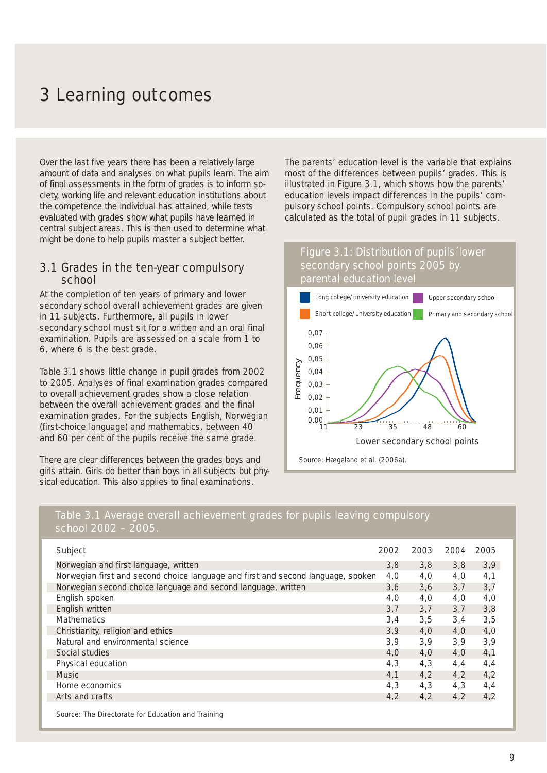## 3 Learning outcomes

Over the last five years there has been a relatively large amount of data and analyses on what pupils learn. The aim of final assessments in the form of grades is to inform society, working life and relevant education institutions about the competence the individual has attained, while tests evaluated with grades show what pupils have learned in central subject areas. This is then used to determine what might be done to help pupils master a subject better.

#### 3.1 Grades in the ten-year compulsory school

At the completion of ten years of primary and lower secondary school overall achievement grades are given in 11 subjects. Furthermore, all pupils in lower secondary school must sit for a written and an oral final examination. Pupils are assessed on a scale from 1 to 6, where 6 is the best grade.

Table 3.1 shows little change in pupil grades from 2002 to 2005. Analyses of final examination grades compared to overall achievement grades show a close relation between the overall achievement grades and the final examination grades. For the subjects English, Norwegian (first-choice language) and mathematics, between 40 and 60 per cent of the pupils receive the same grade.

There are clear differences between the grades boys and girls attain. Girls do better than boys in all subjects but physical education. This also applies to final examinations.

The parents' education level is the variable that explains most of the differences between pupils' grades. This is illustrated in Figure 3.1, which shows how the parents' education levels impact differences in the pupils' compulsory school points. Compulsory school points are calculated as the total of pupil grades in 11 subjects.



#### Table 3.1 Average overall achievement grades for pupils leaving compulsory school 2002 – 2005.

| Subject                                                                          | 2002 | 2003 | 2004 | 2005 |
|----------------------------------------------------------------------------------|------|------|------|------|
| Norwegian and first language, written                                            | 3,8  | 3,8  | 3,8  | 3,9  |
| Norwegian first and second choice language and first and second language, spoken | 4,0  | 4,0  | 4,0  | 4,1  |
| Norwegian second choice language and second language, written                    | 3,6  | 3,6  | 3,7  | 3,7  |
| English spoken                                                                   | 4,0  | 4,0  | 4,0  | 4,0  |
| English written                                                                  | 3,7  | 3,7  | 3,7  | 3,8  |
| <b>Mathematics</b>                                                               | 3,4  | 3,5  | 3,4  | 3,5  |
| Christianity, religion and ethics                                                | 3.9  | 4,0  | 4,0  | 4,0  |
| Natural and environmental science                                                | 3,9  | 3,9  | 3,9  | 3,9  |
| Social studies                                                                   | 4,0  | 4,0  | 4,0  | 4,1  |
| Physical education                                                               | 4,3  | 4,3  | 4,4  | 4,4  |
| <b>Music</b>                                                                     | 4,1  | 4,2  | 4,2  | 4,2  |
| Home economics                                                                   | 4,3  | 4,3  | 4,3  | 4,4  |
| Arts and crafts                                                                  | 4,2  | 4,2  | 4,2  | 4,2  |

Source: The Directorate for Education and Training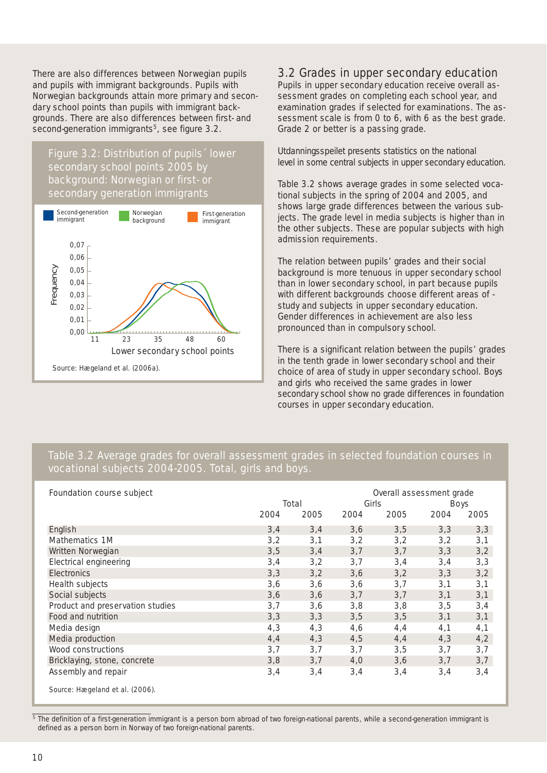There are also differences between Norwegian pupils and pupils with immigrant backgrounds. Pupils with Norwegian backgrounds attain more primary and secondary school points than pupils with immigrant backgrounds. There are also differences between first- and second-generation immigrants<sup>5</sup>, see figure 3.2.

Figure 3.2: Distribution of pupils´ lower secondary school points 2005 by background: Norwegian or first- or secondary generation immigrants



#### 3.2 Grades in upper secondary education

Pupils in upper secondary education receive overall assessment grades on completing each school year, and examination grades if selected for examinations. The assessment scale is from 0 to 6, with 6 as the best grade. Grade 2 or better is a passing grade.

*Utdanningsspeilet* presents statistics on the national level in some central subjects in upper secondary education.

Table 3.2 shows average grades in some selected vocational subjects in the spring of 2004 and 2005, and shows large grade differences between the various subjects. The grade level in media subjects is higher than in the other subjects. These are popular subjects with high admission requirements.

The relation between pupils' grades and their social background is more tenuous in upper secondary school than in lower secondary school, in part because pupils with different backgrounds choose different areas of study and subjects in upper secondary education. Gender differences in achievement are also less pronounced than in compulsory school.

There is a significant relation between the pupils' grades in the tenth grade in lower secondary school and their choice of area of study in upper secondary school. Boys and girls who received the same grades in lower secondary school show no grade differences in foundation courses in upper secondary education.

#### Table 3.2 Average grades for overall assessment grades in selected foundation courses in vocational subjects 2004-2005. Total, girls and boys.

| Foundation course subject        |       |      | Overall assessment grade |      |      |      |
|----------------------------------|-------|------|--------------------------|------|------|------|
|                                  | Total |      | Girls                    |      | Boys |      |
|                                  | 2004  | 2005 | 2004                     | 2005 | 2004 | 2005 |
| English                          | 3,4   | 3,4  | 3,6                      | 3,5  | 3,3  | 3,3  |
| Mathematics 1M                   | 3,2   | 3,1  | 3,2                      | 3,2  | 3,2  | 3,1  |
| Written Norwegian                | 3,5   | 3,4  | 3,7                      | 3,7  | 3,3  | 3,2  |
| Electrical engineering           | 3,4   | 3,2  | 3,7                      | 3,4  | 3,4  | 3,3  |
| Electronics                      | 3,3   | 3,2  | 3,6                      | 3,2  | 3,3  | 3,2  |
| Health subjects                  | 3,6   | 3,6  | 3,6                      | 3,7  | 3,1  | 3,1  |
| Social subjects                  | 3,6   | 3,6  | 3,7                      | 3,7  | 3,1  | 3,1  |
| Product and preservation studies | 3,7   | 3,6  | 3,8                      | 3,8  | 3,5  | 3,4  |
| Food and nutrition               | 3,3   | 3,3  | 3,5                      | 3,5  | 3,1  | 3,1  |
| Media design                     | 4,3   | 4,3  | 4,6                      | 4,4  | 4,1  | 4,1  |
| Media production                 | 4,4   | 4,3  | 4,5                      | 4,4  | 4,3  | 4,2  |
| Wood constructions               | 3,7   | 3,7  | 3,7                      | 3,5  | 3,7  | 3,7  |
| Bricklaying, stone, concrete     | 3,8   | 3,7  | 4,0                      | 3,6  | 3,7  | 3,7  |
| Assembly and repair              | 3,4   | 3,4  | 3,4                      | 3,4  | 3,4  | 3,4  |
| Source: Hægeland et al. (2006).  |       |      |                          |      |      |      |

<sup>5</sup> The definition of a first-generation immigrant is a person born abroad of two foreign-national parents, while a second-generation immigrant is defined as a person born in Norway of two foreign-national parents.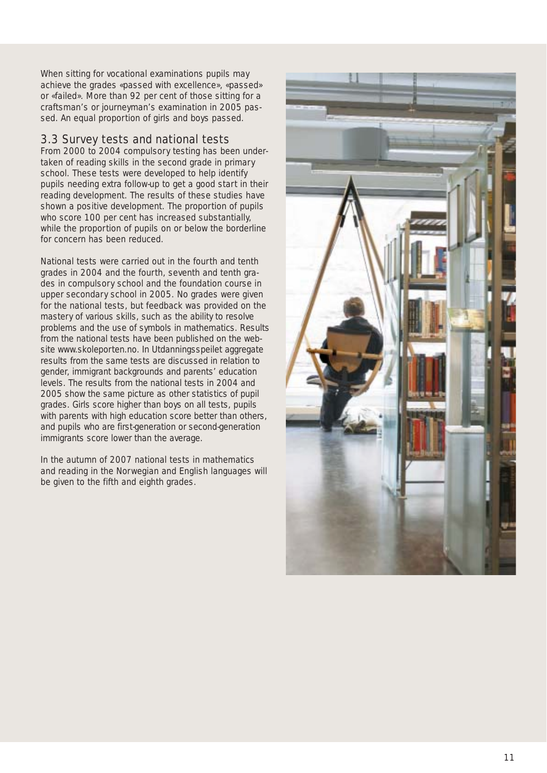When sitting for vocational examinations pupils may achieve the grades «passed with excellence», «passed» or «failed». More than 92 per cent of those sitting for a craftsman's or journeyman's examination in 2005 passed. An equal proportion of girls and boys passed.

#### 3.3 Survey tests and national tests

From 2000 to 2004 compulsory testing has been undertaken of reading skills in the second grade in primary school. These tests were developed to help identify pupils needing extra follow-up to get a good start in their reading development. The results of these studies have shown a positive development. The proportion of pupils who score 100 per cent has increased substantially, while the proportion of pupils on or below the borderline for concern has been reduced.

National tests were carried out in the fourth and tenth grades in 2004 and the fourth, seventh and tenth grades in compulsory school and the foundation course in upper secondary school in 2005. No grades were given for the national tests, but feedback was provided on the mastery of various skills, such as the ability to resolve problems and the use of symbols in mathematics. Results from the national tests have been published on the website www.skoleporten.no. In *Utdanningsspeilet* aggregate results from the same tests are discussed in relation to gender, immigrant backgrounds and parents' education levels. The results from the national tests in 2004 and 2005 show the same picture as other statistics of pupil grades. Girls score higher than boys on all tests, pupils with parents with high education score better than others, and pupils who are first-generation or second-generation immigrants score lower than the average.

In the autumn of 2007 national tests in mathematics and reading in the Norwegian and English languages will be given to the fifth and eighth grades.

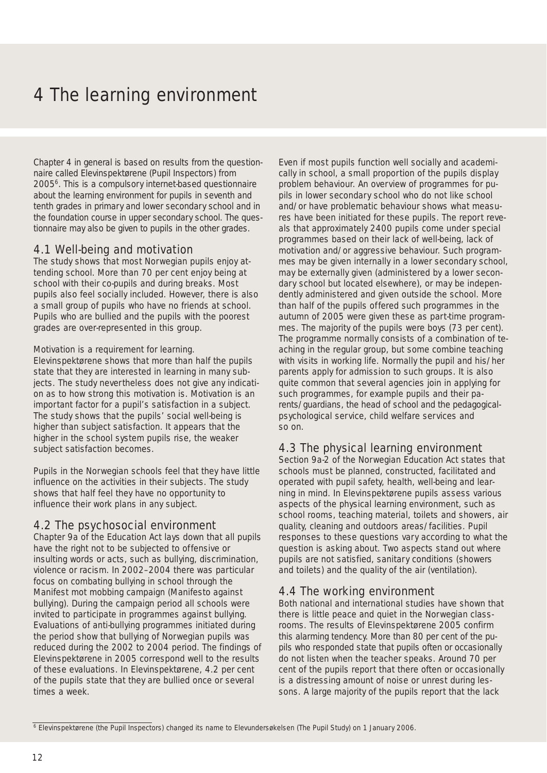# 4 The learning environment

Chapter 4 in general is based on results from the questionnaire called *Elevinspektørene* (Pupil Inspectors) from 20056. This is a compulsory internet-based questionnaire about the learning environment for pupils in seventh and tenth grades in primary and lower secondary school and in the foundation course in upper secondary school. The questionnaire may also be given to pupils in the other grades.

#### 4.1 Well-being and motivation

The study shows that most Norwegian pupils enjoy attending school. More than 70 per cent enjoy being at school with their co-pupils and during breaks. Most pupils also feel socially included. However, there is also a small group of pupils who have no friends at school. Pupils who are bullied and the pupils with the poorest grades are over-represented in this group.

Motivation is a requirement for learning.

*Elevinspektørene* shows that more than half the pupils state that they are interested in learning in many subjects. The study nevertheless does not give any indication as to how strong this motivation is. Motivation is an important factor for a pupil's satisfaction in a subject. The study shows that the pupils' social well-being is higher than subject satisfaction. It appears that the higher in the school system pupils rise, the weaker subject satisfaction becomes.

Pupils in the Norwegian schools feel that they have little influence on the activities in their subjects. The study shows that half feel they have no opportunity to influence their work plans in any subject.

#### 4.2 The psychosocial environment

Chapter 9a of the Education Act lays down that all pupils have the right not to be subjected to offensive or insulting words or acts, such as bullying, discrimination, violence or racism. In 2002–2004 there was particular focus on combating bullying in school through the *Manifest mot mobbing* campaign (Manifesto against bullying). During the campaign period all schools were invited to participate in programmes against bullying. Evaluations of anti-bullying programmes initiated during the period show that bullying of Norwegian pupils was reduced during the 2002 to 2004 period. The findings of *Elevinspektørene* in 2005 correspond well to the results of these evaluations. In *Elevinspektørene*, 4.2 per cent of the pupils state that they are bullied once or several times a week.

Even if most pupils function well socially and academically in school, a small proportion of the pupils display problem behaviour. An overview of programmes for pupils in lower secondary school who do not like school and/or have problematic behaviour shows what measures have been initiated for these pupils. The report reveals that approximately 2400 pupils come under special programmes based on their lack of well-being, lack of motivation and/or aggressive behaviour. Such programmes may be given internally in a lower secondary school, may be externally given (administered by a lower secondary school but located elsewhere), or may be independently administered and given outside the school. More than half of the pupils offered such programmes in the autumn of 2005 were given these as part-time programmes. The majority of the pupils were boys (73 per cent). The programme normally consists of a combination of teaching in the regular group, but some combine teaching with visits in working life. Normally the pupil and his/her parents apply for admission to such groups. It is also quite common that several agencies join in applying for such programmes, for example pupils and their parents/guardians, the head of school and the pedagogicalpsychological service, child welfare services and so on.

#### 4.3 The physical learning environment

Section 9a-2 of the Norwegian Education Act states that schools must be planned, constructed, facilitated and operated with pupil safety, health, well-being and learning in mind. In *Elevinspektørene* pupils assess various aspects of the physical learning environment, such as school rooms, teaching material, toilets and showers, air quality, cleaning and outdoors areas/facilities. Pupil responses to these questions vary according to what the question is asking about. Two aspects stand out where pupils are not satisfied, sanitary conditions (showers and toilets) and the quality of the air (ventilation).

#### 4.4 The working environment

Both national and international studies have shown that there is little peace and quiet in the Norwegian classrooms. The results of *Elevinspektørene 2005* confirm this alarming tendency. More than 80 per cent of the pupils who responded state that pupils often or occasionally do not listen when the teacher speaks. Around 70 per cent of the pupils report that there often or occasionally is a distressing amount of noise or unrest during lessons. A large majority of the pupils report that the lack

<sup>6</sup> *Elevinspektørene* (the Pupil Inspectors) changed its name to *Elevundersøkelsen* (The Pupil Study) on 1 January 2006.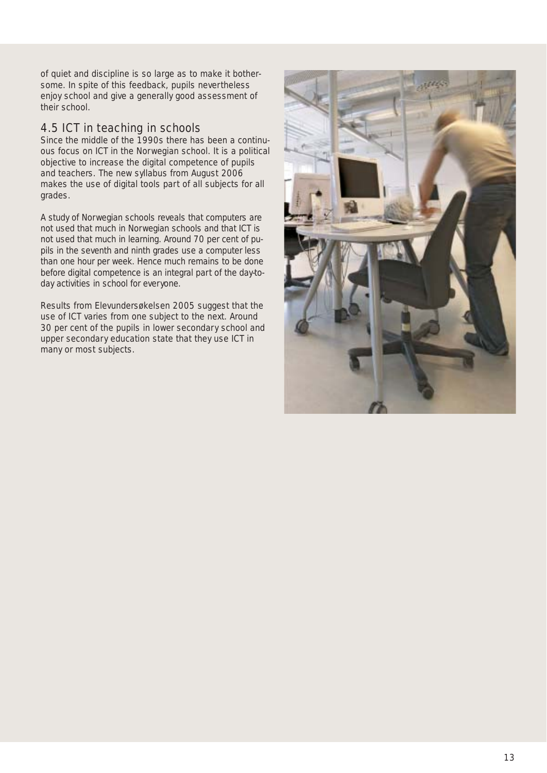of quiet and discipline is so large as to make it bothersome. In spite of this feedback, pupils nevertheless enjoy school and give a generally good assessment of their school.

### 4.5 ICT in teaching in schools

Since the middle of the 1990s there has been a continuous focus on ICT in the Norwegian school. It is a political objective to increase the digital competence of pupils and teachers. The new syllabus from August 2006 makes the use of digital tools part of all subjects for all grades.

A study of Norwegian schools reveals that computers are not used that much in Norwegian schools and that ICT is not used that much in learning. Around 70 per cent of pupils in the seventh and ninth grades use a computer less than one hour per week. Hence much remains to be done before digital competence is an integral part of the day-today activities in school for everyone.

Results from *Elevundersøkelsen* 2005 suggest that the use of ICT varies from one subject to the next. Around 30 per cent of the pupils in lower secondary school and upper secondary education state that they use ICT in many or most subjects.

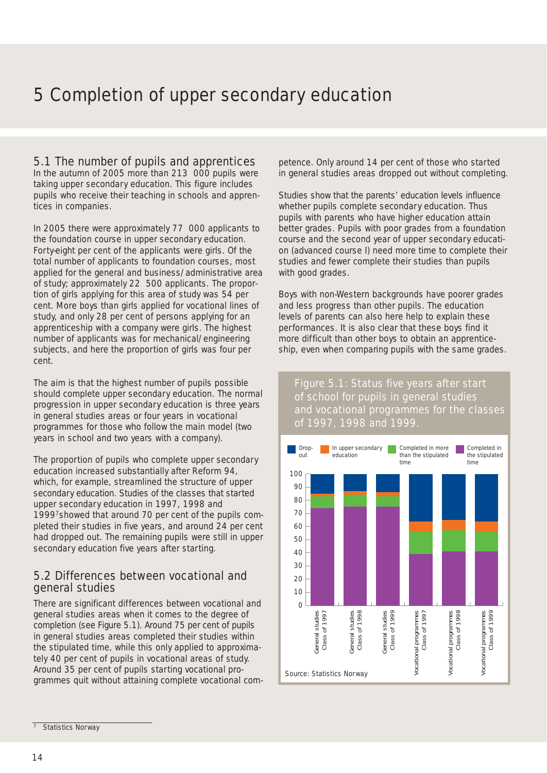# 5 Completion of upper secondary education

#### 5.1 The number of pupils and apprentices

In the autumn of 2005 more than 213 000 pupils were taking upper secondary education. This figure includes pupils who receive their teaching in schools and apprentices in companies.

In 2005 there were approximately 77 000 applicants to the foundation course in upper secondary education. Forty-eight per cent of the applicants were girls. Of the total number of applicants to foundation courses, most applied for the general and business/administrative area of study; approximately 22 500 applicants. The proportion of girls applying for this area of study was 54 per cent. More boys than girls applied for vocational lines of study, and only 28 per cent of persons applying for an apprenticeship with a company were girls. The highest number of applicants was for mechanical/engineering subjects, and here the proportion of girls was four per cent.

The aim is that the highest number of pupils possible should complete upper secondary education. The normal progression in upper secondary education is three years in general studies areas or four years in vocational programmes for those who follow the main model (two years in school and two years with a company).

The proportion of pupils who complete upper secondary education increased substantially after Reform 94, which, for example, streamlined the structure of upper secondary education. Studies of the classes that started upper secondary education in 1997, 1998 and 1999<sup>7</sup>showed that around 70 per cent of the pupils completed their studies in five years, and around 24 per cent had dropped out. The remaining pupils were still in upper secondary education five years after starting.

#### 5.2 Differences between vocational and general studies

There are significant differences between vocational and general studies areas when it comes to the degree of completion (see Figure 5.1). Around 75 per cent of pupils in general studies areas completed their studies within the stipulated time, while this only applied to approximately 40 per cent of pupils in vocational areas of study. Around 35 per cent of pupils starting vocational programmes quit without attaining complete vocational competence. Only around 14 per cent of those who started in general studies areas dropped out without completing.

Studies show that the parents' education levels influence whether pupils complete secondary education. Thus pupils with parents who have higher education attain better grades. Pupils with poor grades from a foundation course and the second year of upper secondary education (advanced course I) need more time to complete their studies and fewer complete their studies than pupils with good grades.

Boys with non-Western backgrounds have poorer grades and less progress than other pupils. The education levels of parents can also here help to explain these performances. It is also clear that these boys find it more difficult than other boys to obtain an apprenticeship, even when comparing pupils with the same grades.

Figure 5.1: Status five years after start of school for pupils in general studies and vocational programmes for the classes of 1997, 1998 and 1999.



<sup>7</sup> Statistics Norway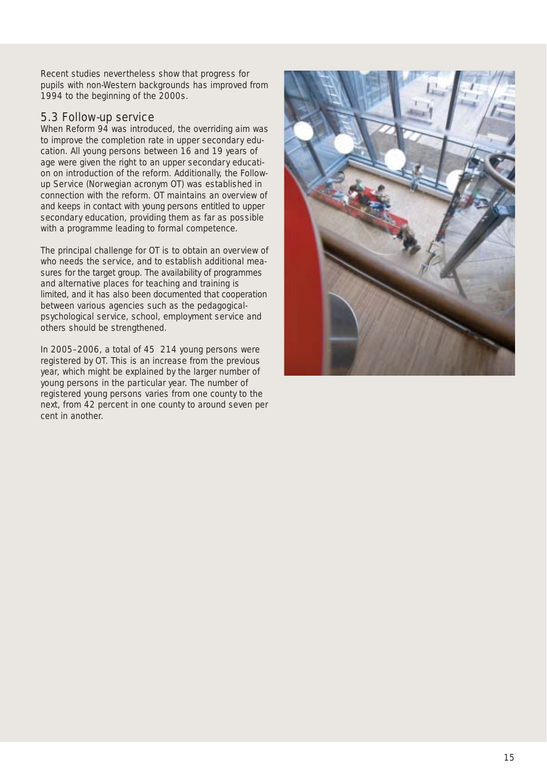Recent studies nevertheless show that progress for pupils with non-Western backgrounds has improved from 1994 to the beginning of the 2000s.

#### 5.3 Follow-up service

When Reform 94 was introduced, the overriding aim was to improve the completion rate in upper secondary education. All young persons between 16 and 19 years of age were given the right to an upper secondary education on introduction of the reform. Additionally, the Followup Service (Norwegian acronym OT) was established in connection with the reform. OT maintains an overview of and keeps in contact with young persons entitled to upper secondary education, providing them as far as possible with a programme leading to formal competence.

The principal challenge for OT is to obtain an overview of who needs the service, and to establish additional measures for the target group. The availability of programmes and alternative places for teaching and training is limited, and it has also been documented that cooperation between various agencies such as the pedagogicalpsychological service, school, employment service and others should be strengthened.

In 2005–2006, a total of 45 214 young persons were registered by OT. This is an increase from the previous year, which might be explained by the larger number of young persons in the particular year. The number of registered young persons varies from one county to the next, from 42 percent in one county to around seven per cent in another.

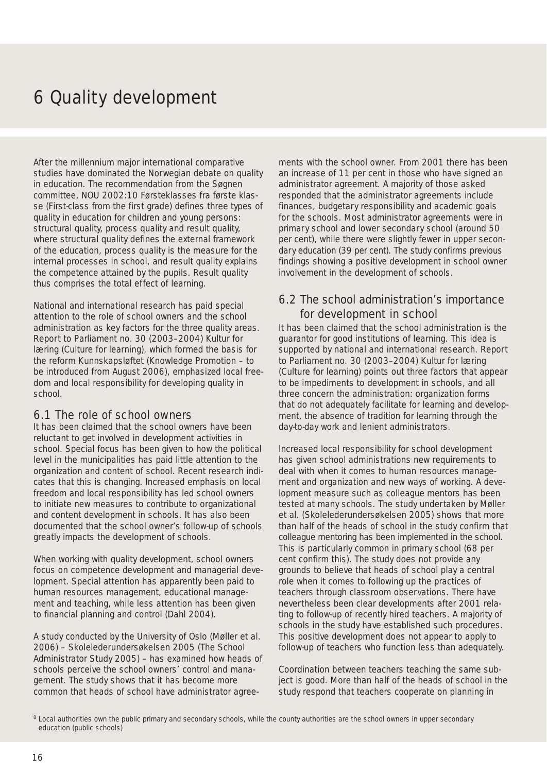# 6 Quality development

After the millennium major international comparative studies have dominated the Norwegian debate on quality in education. The recommendation from the Søgnen committee, NOU 2002:10 *Førsteklasses fra første klasse* (First-class from the first grade) defines three types of quality in education for children and young persons: structural quality, process quality and result quality, where structural quality defines the external framework of the education, process quality is the measure for the internal processes in school, and result quality explains the competence attained by the pupils. Result quality thus comprises the total effect of learning.

National and international research has paid special attention to the role of school owners and the school administration as key factors for the three quality areas. Report to Parliament no. 30 (2003–2004) *Kultur for læring* (Culture for learning), which formed the basis for the reform *Kunnskapsløftet* (Knowledge Promotion – to be introduced from August 2006), emphasized local freedom and local responsibility for developing quality in school.

#### 6.1 The role of school owners

It has been claimed that the school owners have been reluctant to get involved in development activities in school. Special focus has been given to how the political level in the municipalities has paid little attention to the organization and content of school. Recent research indicates that this is changing. Increased emphasis on local freedom and local responsibility has led school owners to initiate new measures to contribute to organizational and content development in schools. It has also been documented that the school owner's follow-up of schools greatly impacts the development of schools.

When working with quality development, school owners focus on competence development and managerial development. Special attention has apparently been paid to human resources management, educational management and teaching, while less attention has been given to financial planning and control (Dahl 2004).

A study conducted by the University of Oslo (Møller et al. 2006) – *Skolelederundersøkelsen 2005* (The School Administrator Study 2005) – has examined how heads of schools perceive the school owners' control and management. The study shows that it has become more common that heads of school have administrator agree-

ments with the school owner. From 2001 there has been an increase of 11 per cent in those who have signed an administrator agreement. A majority of those asked responded that the administrator agreements include finances, budgetary responsibility and academic goals for the schools. Most administrator agreements were in primary school and lower secondary school (around 50 per cent), while there were slightly fewer in upper secondary education (39 per cent). The study confirms previous findings showing a positive development in school owner involvement in the development of schools.

#### 6.2 The school administration's importance for development in school

It has been claimed that the school administration is the guarantor for good institutions of learning. This idea is supported by national and international research. Report to Parliament no. 30 (2003–2004) *Kultur for læring* (Culture for learning) points out three factors that appear to be impediments to development in schools, and all three concern the administration: organization forms that do not adequately facilitate for learning and development, the absence of tradition for learning through the day-to-day work and lenient administrators.

Increased local responsibility for school development has given school administrations new requirements to deal with when it comes to human resources management and organization and new ways of working. A development measure such as colleague mentors has been tested at many schools. The study undertaken by Møller et al. *(Skolelederundersøkelsen 2005)* shows that more than half of the heads of school in the study confirm that colleague mentoring has been implemented in the school. This is particularly common in primary school (68 per cent confirm this). The study does not provide any grounds to believe that heads of school play a central role when it comes to following up the practices of teachers through classroom observations. There have nevertheless been clear developments after 2001 relating to follow-up of recently hired teachers. A majority of schools in the study have established such procedures. This positive development does not appear to apply to follow-up of teachers who function less than adequately.

Coordination between teachers teaching the same subject is good. More than half of the heads of school in the study respond that teachers cooperate on planning in

<sup>&</sup>lt;sup>8</sup> Local authorities own the public primary and secondary schools, while the county authorities are the school owners in upper secondary education (public schools)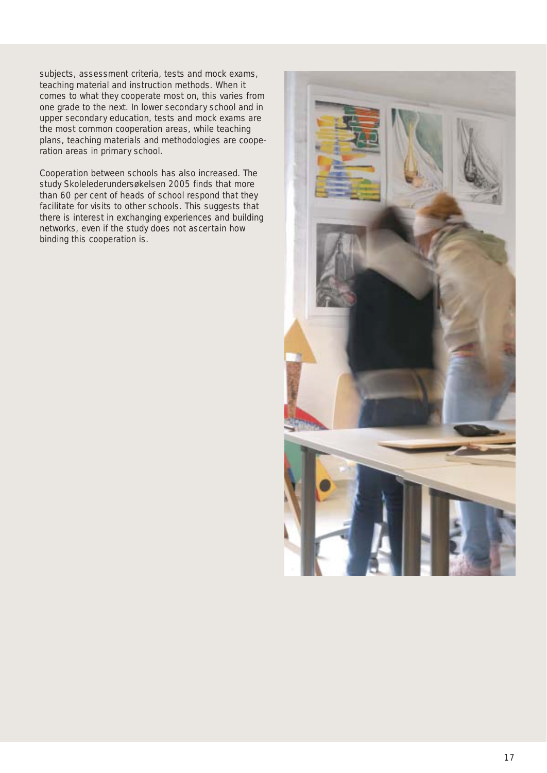subjects, assessment criteria, tests and mock exams, teaching material and instruction methods. When it comes to what they cooperate most on, this varies from one grade to the next. In lower secondary school and in upper secondary education, tests and mock exams are the most common cooperation areas, while teaching plans, teaching materials and methodologies are cooperation areas in primary school.

Cooperation between schools has also increased. The study *Skolelederundersøkelsen* 2005 finds that more than 60 per cent of heads of school respond that they facilitate for visits to other schools. This suggests that there is interest in exchanging experiences and building networks, even if the study does not ascertain how binding this cooperation is.

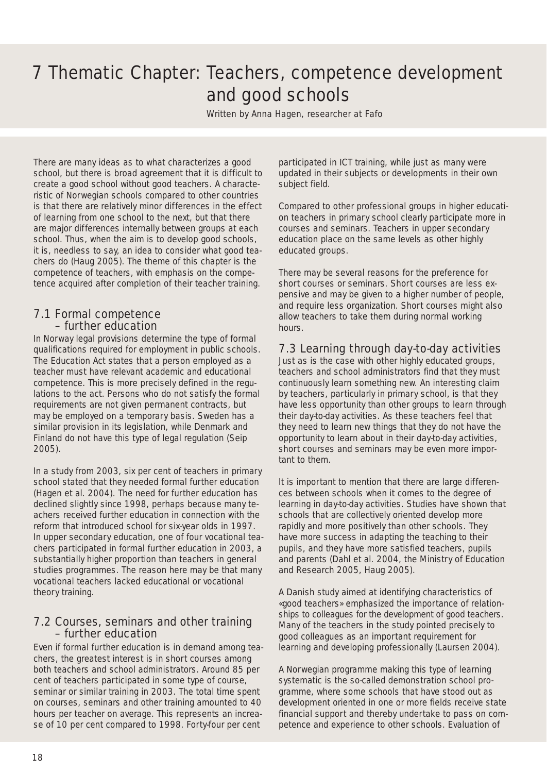### 7 Thematic Chapter: Teachers, competence development and good schools

Written by Anna Hagen, researcher at Fafo

There are many ideas as to what characterizes a good school, but there is broad agreement that it is difficult to create a good school without good teachers. A characteristic of Norwegian schools compared to other countries is that there are relatively minor differences in the effect of learning from one school to the next, but that there are major differences internally between groups at each school. Thus, when the aim is to develop good schools, it is, needless to say, an idea to consider what good teachers do (Haug 2005). The theme of this chapter is the competence of teachers, with emphasis on the competence acquired after completion of their teacher training.

#### 7.1 Formal competence – further education

In Norway legal provisions determine the type of formal qualifications required for employment in public schools. The Education Act states that a person employed as a teacher must have relevant academic and educational competence. This is more precisely defined in the regulations to the act. Persons who do not satisfy the formal requirements are not given permanent contracts, but may be employed on a temporary basis. Sweden has a similar provision in its legislation, while Denmark and Finland do not have this type of legal regulation (Seip 2005).

In a study from 2003, six per cent of teachers in primary school stated that they needed formal further education (Hagen et al. 2004). The need for further education has declined slightly since 1998, perhaps because many teachers received further education in connection with the reform that introduced school for six-year olds in 1997. In upper secondary education, one of four vocational teachers participated in formal further education in 2003, a substantially higher proportion than teachers in general studies programmes. The reason here may be that many vocational teachers lacked educational or vocational theory training.

#### 7.2 Courses, seminars and other training – further education

Even if formal further education is in demand among teachers, the greatest interest is in short courses among both teachers and school administrators. Around 85 per cent of teachers participated in some type of course, seminar or similar training in 2003. The total time spent on courses, seminars and other training amounted to 40 hours per teacher on average. This represents an increase of 10 per cent compared to 1998. Forty-four per cent

participated in ICT training, while just as many were updated in their subjects or developments in their own subject field.

Compared to other professional groups in higher education teachers in primary school clearly participate more in courses and seminars. Teachers in upper secondary education place on the same levels as other highly educated groups.

There may be several reasons for the preference for short courses or seminars. Short courses are less expensive and may be given to a higher number of people, and require less organization. Short courses might also allow teachers to take them during normal working hours.

#### 7.3 Learning through day-to-day activities

Just as is the case with other highly educated groups, teachers and school administrators find that they must continuously learn something new. An interesting claim by teachers, particularly in primary school, is that they have less opportunity than other groups to learn through their day-to-day activities. As these teachers feel that they need to learn new things that they do not have the opportunity to learn about in their day-to-day activities, short courses and seminars may be even more important to them.

It is important to mention that there are large differences between schools when it comes to the degree of learning in day-to-day activities. Studies have shown that schools that are collectively oriented develop more rapidly and more positively than other schools. They have more success in adapting the teaching to their pupils, and they have more satisfied teachers, pupils and parents (Dahl et al. 2004, the Ministry of Education and Research 2005, Haug 2005).

A Danish study aimed at identifying characteristics of «good teachers» emphasized the importance of relationships to colleagues for the development of good teachers. Many of the teachers in the study pointed precisely to good colleagues as an important requirement for learning and developing professionally (Laursen 2004).

A Norwegian programme making this type of learning systematic is the so-called demonstration school programme, where some schools that have stood out as development oriented in one or more fields receive state financial support and thereby undertake to pass on competence and experience to other schools. Evaluation of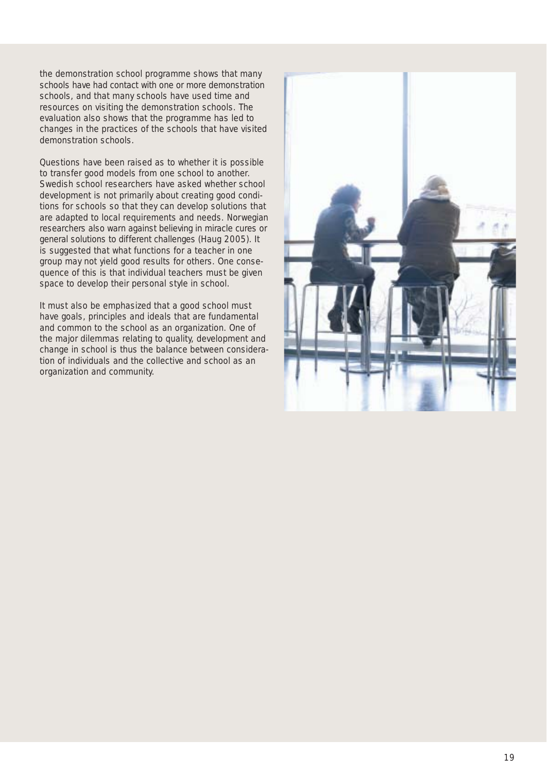the demonstration school programme shows that many schools have had contact with one or more demonstration schools, and that many schools have used time and resources on visiting the demonstration schools. The evaluation also shows that the programme has led to changes in the practices of the schools that have visited demonstration schools.

Questions have been raised as to whether it is possible to transfer good models from one school to another. Swedish school researchers have asked whether school development is not primarily about creating good conditions for schools so that they can develop solutions that are adapted to local requirements and needs. Norwegian researchers also warn against believing in miracle cures or general solutions to different challenges (Haug 2005). It is suggested that what functions for a teacher in one group may not yield good results for others. One consequence of this is that individual teachers must be given space to develop their personal style in school.

It must also be emphasized that a good school must have goals, principles and ideals that are fundamental and common to the school as an organization. One of the major dilemmas relating to quality, development and change in school is thus the balance between consideration of individuals and the collective and school as an organization and community.